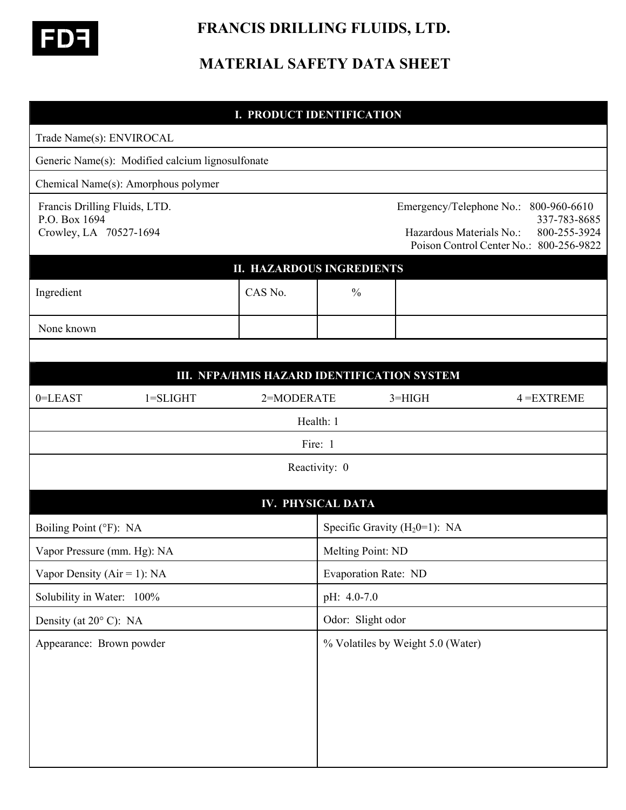

# **FRANCIS DRILLING FLUIDS, LTD.**

# **MATERIAL SAFETY DATA SHEET**

|                                                                          | I. PRODUCT IDENTIFICATION                   |                                                                                                                                                 |            |               |
|--------------------------------------------------------------------------|---------------------------------------------|-------------------------------------------------------------------------------------------------------------------------------------------------|------------|---------------|
| Trade Name(s): ENVIROCAL                                                 |                                             |                                                                                                                                                 |            |               |
| Generic Name(s): Modified calcium lignosulfonate                         |                                             |                                                                                                                                                 |            |               |
| Chemical Name(s): Amorphous polymer                                      |                                             |                                                                                                                                                 |            |               |
| Francis Drilling Fluids, LTD.<br>P.O. Box 1694<br>Crowley, LA 70527-1694 |                                             | Emergency/Telephone No.:<br>800-960-6610<br>337-783-8685<br>Hazardous Materials No.:<br>800-255-3924<br>Poison Control Center No.: 800-256-9822 |            |               |
|                                                                          | <b>II. HAZARDOUS INGREDIENTS</b>            |                                                                                                                                                 |            |               |
| Ingredient                                                               | CAS No.                                     | $\frac{0}{0}$                                                                                                                                   |            |               |
| None known                                                               |                                             |                                                                                                                                                 |            |               |
|                                                                          |                                             |                                                                                                                                                 |            |               |
|                                                                          | III. NFPA/HMIS HAZARD IDENTIFICATION SYSTEM |                                                                                                                                                 |            |               |
| 0=LEAST<br>$1 = SLIGHT$                                                  | 2=MODERATE                                  |                                                                                                                                                 | $3 = HIGH$ | $4 = EXTREME$ |
|                                                                          |                                             | Health: 1                                                                                                                                       |            |               |
|                                                                          |                                             | Fire: 1                                                                                                                                         |            |               |
|                                                                          |                                             | Reactivity: 0                                                                                                                                   |            |               |
|                                                                          |                                             | IV. PHYSICAL DATA                                                                                                                               |            |               |
| Boiling Point (°F): NA                                                   |                                             | Specific Gravity $(H_20=1)$ : NA                                                                                                                |            |               |
| Vapor Pressure (mm. Hg): NA                                              |                                             | Melting Point: ND                                                                                                                               |            |               |
| Vapor Density ( $Air = 1$ ): NA                                          |                                             | Evaporation Rate: ND                                                                                                                            |            |               |
| Solubility in Water: 100%                                                |                                             | pH: 4.0-7.0                                                                                                                                     |            |               |
| Density (at $20^{\circ}$ C): NA                                          |                                             | Odor: Slight odor                                                                                                                               |            |               |
| Appearance: Brown powder                                                 |                                             | % Volatiles by Weight 5.0 (Water)                                                                                                               |            |               |
|                                                                          |                                             |                                                                                                                                                 |            |               |
|                                                                          |                                             |                                                                                                                                                 |            |               |
|                                                                          |                                             |                                                                                                                                                 |            |               |
|                                                                          |                                             |                                                                                                                                                 |            |               |
|                                                                          |                                             |                                                                                                                                                 |            |               |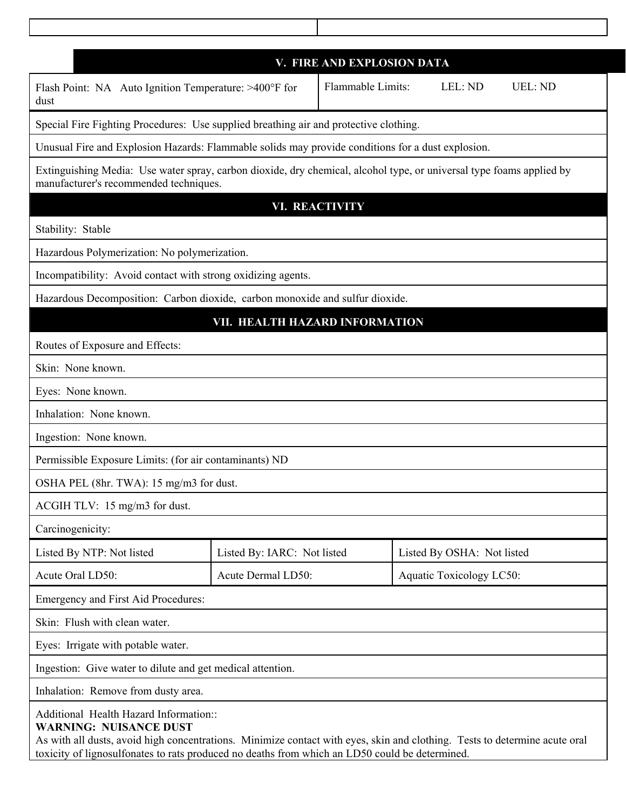| V. FIRE AND EXPLOSION DATA                                                                                                                                                                                                                                                                              |                             |                   |                                 |                |  |  |
|---------------------------------------------------------------------------------------------------------------------------------------------------------------------------------------------------------------------------------------------------------------------------------------------------------|-----------------------------|-------------------|---------------------------------|----------------|--|--|
| Flash Point: NA Auto Ignition Temperature: >400°F for<br>dust                                                                                                                                                                                                                                           |                             | Flammable Limits: | LEL: ND                         | <b>UEL: ND</b> |  |  |
| Special Fire Fighting Procedures: Use supplied breathing air and protective clothing.                                                                                                                                                                                                                   |                             |                   |                                 |                |  |  |
| Unusual Fire and Explosion Hazards: Flammable solids may provide conditions for a dust explosion.                                                                                                                                                                                                       |                             |                   |                                 |                |  |  |
| Extinguishing Media: Use water spray, carbon dioxide, dry chemical, alcohol type, or universal type foams applied by<br>manufacturer's recommended techniques.                                                                                                                                          |                             |                   |                                 |                |  |  |
| <b>VI. REACTIVITY</b>                                                                                                                                                                                                                                                                                   |                             |                   |                                 |                |  |  |
| Stability: Stable                                                                                                                                                                                                                                                                                       |                             |                   |                                 |                |  |  |
| Hazardous Polymerization: No polymerization.                                                                                                                                                                                                                                                            |                             |                   |                                 |                |  |  |
| Incompatibility: Avoid contact with strong oxidizing agents.                                                                                                                                                                                                                                            |                             |                   |                                 |                |  |  |
| Hazardous Decomposition: Carbon dioxide, carbon monoxide and sulfur dioxide.                                                                                                                                                                                                                            |                             |                   |                                 |                |  |  |
| VII. HEALTH HAZARD INFORMATION                                                                                                                                                                                                                                                                          |                             |                   |                                 |                |  |  |
| Routes of Exposure and Effects:                                                                                                                                                                                                                                                                         |                             |                   |                                 |                |  |  |
| Skin: None known.                                                                                                                                                                                                                                                                                       |                             |                   |                                 |                |  |  |
| Eyes: None known.                                                                                                                                                                                                                                                                                       |                             |                   |                                 |                |  |  |
| Inhalation: None known.                                                                                                                                                                                                                                                                                 |                             |                   |                                 |                |  |  |
| Ingestion: None known.                                                                                                                                                                                                                                                                                  |                             |                   |                                 |                |  |  |
| Permissible Exposure Limits: (for air contaminants) ND                                                                                                                                                                                                                                                  |                             |                   |                                 |                |  |  |
| OSHA PEL (8hr. TWA): 15 mg/m3 for dust.                                                                                                                                                                                                                                                                 |                             |                   |                                 |                |  |  |
| ACGIH TLV: 15 mg/m3 for dust.                                                                                                                                                                                                                                                                           |                             |                   |                                 |                |  |  |
| Carcinogenicity:                                                                                                                                                                                                                                                                                        |                             |                   |                                 |                |  |  |
| Listed By NTP: Not listed                                                                                                                                                                                                                                                                               | Listed By: IARC: Not listed |                   | Listed By OSHA: Not listed      |                |  |  |
| Acute Oral LD50:                                                                                                                                                                                                                                                                                        | Acute Dermal LD50:          |                   | <b>Aquatic Toxicology LC50:</b> |                |  |  |
| Emergency and First Aid Procedures:                                                                                                                                                                                                                                                                     |                             |                   |                                 |                |  |  |
| Skin: Flush with clean water.                                                                                                                                                                                                                                                                           |                             |                   |                                 |                |  |  |
| Eyes: Irrigate with potable water.                                                                                                                                                                                                                                                                      |                             |                   |                                 |                |  |  |
| Ingestion: Give water to dilute and get medical attention.                                                                                                                                                                                                                                              |                             |                   |                                 |                |  |  |
| Inhalation: Remove from dusty area.                                                                                                                                                                                                                                                                     |                             |                   |                                 |                |  |  |
| Additional Health Hazard Information::<br><b>WARNING: NUISANCE DUST</b><br>As with all dusts, avoid high concentrations. Minimize contact with eyes, skin and clothing. Tests to determine acute oral<br>toxicity of lignosulfonates to rats produced no deaths from which an LD50 could be determined. |                             |                   |                                 |                |  |  |